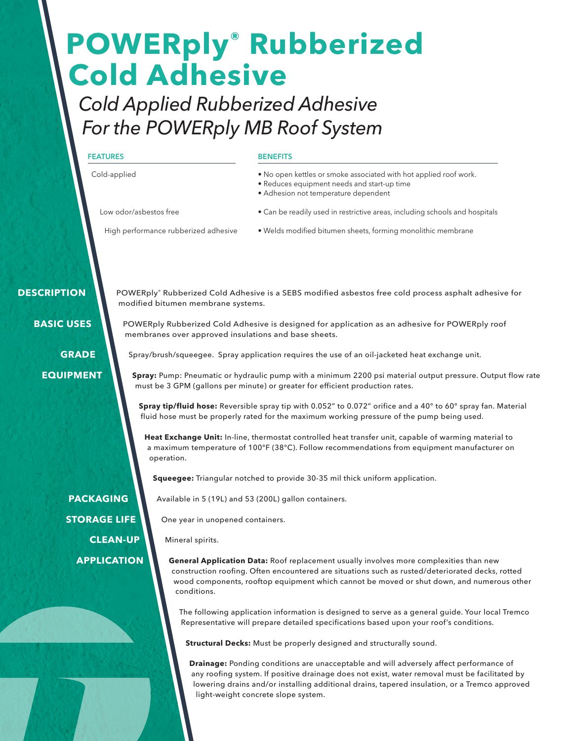# **POWERply® Rubberized Cold Adhesive**

*Cold Applied Rubberized Adhesive For the POWERply MB Roof System*

# **FEATURES**

Cold-applied

#### **BENEFITS**

- No open kettles or smoke associated with hot applied roof work.
- Reduces equipment needs and start-up time
- Adhesion not temperature dependent

Low odor/asbestos free

- Can be readily used in restrictive areas, including schools and hospitals
- High performance rubberized adhesive
- • Welds modified bitumen sheets, forming monolithic membrane

# **DESCRIPTION**

 **BASIC USES**

 **GRADE** 

 **EQUIPMENT**

POWERply® Rubberized Cold Adhesive is a SEBS modified asbestos free cold process asphalt adhesive for modified bitumen membrane systems.

POWERply Rubberized Cold Adhesive is designed for application as an adhesive for POWERply roof membranes over approved insulations and base sheets.

Spray/brush/squeegee. Spray application requires the use of an oil-jacketed heat exchange unit.

**Spray:** Pump: Pneumatic or hydraulic pump with a minimum 2200 psi material output pressure. Output flow rate must be 3 GPM (gallons per minute) or greater for efficient production rates.

**Spray tip/fluid hose:** Reversible spray tip with 0.052" to 0.072" orifice and a 40° to 60° spray fan. Material fluid hose must be properly rated for the maximum working pressure of the pump being used.

**Heat Exchange Unit:** In-line, thermostat controlled heat transfer unit, capable of warming material to a maximum temperature of 100°F (38°C). Follow recommendations from equipment manufacturer on operation.

**Squeegee:** Triangular notched to provide 30-35 mil thick uniform application.

Available in 5 (19L) and 53 (200L) gallon containers.

One year in unopened containers.

Mineral spirits.

**General Application Data:** Roof replacement usually involves more complexities than new construction roofing. Often encountered are situations such as rusted/deteriorated decks, rotted wood components, rooftop equipment which cannot be moved or shut down, and numerous other conditions.

The following application information is designed to serve as a general guide. Your local Tremco Representative will prepare detailed specifications based upon your roof's conditions.

**Structural Decks:** Must be properly designed and structurally sound.

**Drainage:** Ponding conditions are unacceptable and will adversely affect performance of any roofing system. If positive drainage does not exist, water removal must be facilitated by lowering drains and/or installing additional drains, tapered insulation, or a Tremco approved light-weight concrete slope system.

 **PACKAGING STORAGE LIFE CLEAN-UP APPLICATION**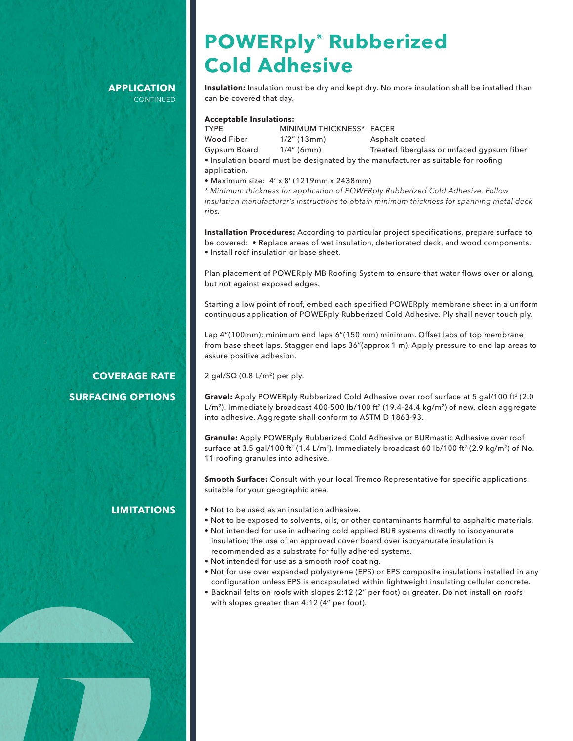#### **APPLICATION CONTINUED**

# **POWERply® Rubberized Cold Adhesive**

**Insulation:** Insulation must be dry and kept dry. No more insulation shall be installed than can be covered that day.

#### **Acceptable Insulations:**

TYPE MINIMUM THICKNESS\* FACER Wood Fiber 1/2" (13mm) Asphalt coated Gypsum Board 1/4" (6mm) Treated fiberglass or unfaced gypsum fiber • Insulation board must be designated by the manufacturer as suitable for roofing

application.

• Maximum size: 4' x 8' (1219mm x 2438mm)

*\* Minimum thickness for application of POWERply Rubberized Cold Adhesive. Follow insulation manufacturer's instructions to obtain minimum thickness for spanning metal deck ribs.*

**Installation Procedures:** According to particular project specifications, prepare surface to be covered: • Replace areas of wet insulation, deteriorated deck, and wood components. • Install roof insulation or base sheet.

Plan placement of POWERply MB Roofing System to ensure that water flows over or along, but not against exposed edges.

Starting a low point of roof, embed each specified POWERply membrane sheet in a uniform continuous application of POWERply Rubberized Cold Adhesive. Ply shall never touch ply.

Lap 4"(100mm); minimum end laps 6"(150 mm) minimum. Offset labs of top membrane from base sheet laps. Stagger end laps 36"(approx 1 m). Apply pressure to end lap areas to assure positive adhesion.

 $2$  gal/SQ (0.8 L/m<sup>2</sup>) per ply.

**Gravel:** Apply POWERply Rubberized Cold Adhesive over roof surface at 5 gal/100 ft<sup>2</sup> (2.0 L/m<sup>2</sup>). Immediately broadcast 400-500 lb/100 ft<sup>2</sup> (19.4-24.4 kg/m<sup>2</sup>) of new, clean aggregate into adhesive. Aggregate shall conform to ASTM D 1863-93.

**Granule:** Apply POWERply Rubberized Cold Adhesive or BURmastic Adhesive over roof surface at 3.5 gal/100 ft<sup>2</sup> (1.4 L/m<sup>2</sup>). Immediately broadcast 60 lb/100 ft<sup>2</sup> (2.9 kg/m<sup>2</sup>) of No. 11 roofing granules into adhesive.

**Smooth Surface:** Consult with your local Tremco Representative for specific applications suitable for your geographic area.

- Not to be used as an insulation adhesive.
- Not to be exposed to solvents, oils, or other contaminants harmful to asphaltic materials.
- Not intended for use in adhering cold applied BUR systems directly to isocyanurate insulation; the use of an approved cover board over isocyanurate insulation is recommended as a substrate for fully adhered systems.
- Not intended for use as a smooth roof coating.
- Not for use over expanded polystyrene (EPS) or EPS composite insulations installed in any configuration unless EPS is encapsulated within lightweight insulating cellular concrete.
- Backnail felts on roofs with slopes 2:12 (2" per foot) or greater. Do not install on roofs with slopes greater than 4:12 (4" per foot).

# **COVERAGE RATE SURFACING OPTIONS**

# **LIMITATIONS**